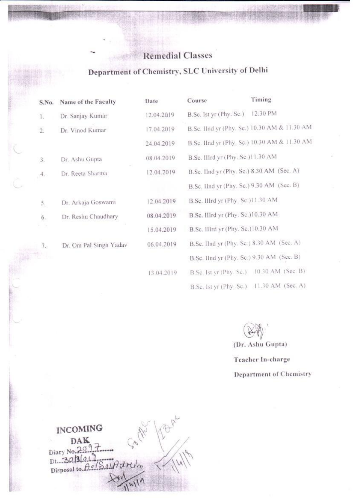#### **Remedial Classes** 1. 海外的消费

#### Department of Chemistry, SLC University of Delhi

| S.No.            | Name of the Faculty    | Date       | Course                                    | Timing                                       |
|------------------|------------------------|------------|-------------------------------------------|----------------------------------------------|
| $1.$             | Dr. Sanjay Kumar       | 12.04.2019 | B.Sc. Ist yr (Phy. Sc.)                   | 12.30 PM                                     |
| $\overline{2}$ . | Dr. Vinod Kumar        | 17.04.2019 |                                           | B.Sc. IInd yr (Phy. Sc.) 10.30 AM & 11.30 AM |
|                  |                        | 24.04.2019 |                                           | B.Sc. IInd yr (Phy. Sc.) 10.30 AM & 11.30 AM |
| 3.               | Dr. Ashu Gupta         | 08.04.2019 | B.Se. IIIrd yr (Phy. Sc.)11.30 AM         |                                              |
| 4.               | Dr. Reeta Sharma       | 12.04.2019 | B.Sc. IInd yr (Phy. Sc.) 8.30 AM (Sec. A) |                                              |
|                  |                        |            | B.Sc. IInd yr (Phy. Sc.) 9.30 AM (Sec. B) |                                              |
| 5.               | Dr. Arkaja Goswami     | 12.04.2019 | B.Sc. Illrd yr (Phy. Sc.)11.30 AM         |                                              |
| $6.$             | Dr. Reshu Chaudhary    | 08.04.2019 | B.Sc. IIIrd yr (Phy. Sc.)10.30 AM         |                                              |
| - 5              |                        | 15.04.2019 | B.Sc. Illrd yr (Phy. Sc.)10.30 AM         |                                              |
| 7.               | Dr. Om Pal Singh Yadav | 06.04.2019 | B.Sc. IInd yr (Phy. Sc.) 8.30 AM (Sec. A) |                                              |
| 赤門島              |                        |            | B.Sc. IInd yr (Phy. Sc.) 9.30 AM (Sec. B) |                                              |
|                  |                        | 13.04.2019 | B.Sc. 1st yr (Phy. Sc.)                   | 10.30 AM (Sec. B)                            |
|                  |                        |            |                                           | B.Sc. Ist yr (Phy. Sc.) 11.30 AM (Sec. A)    |

(Dr. Ashu Gupta)

Teacher In-charge Department of Chemistry

**INCOMING** DAK  $9.7$ Diary No.20 Dt. 30/3/01)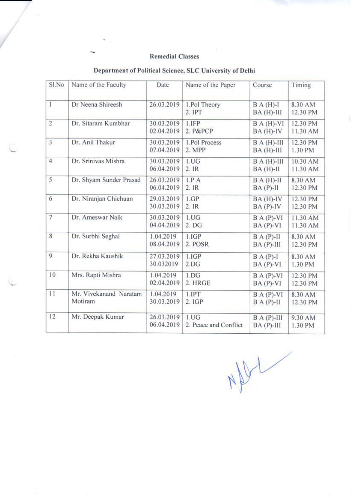#### **Remedial Classes**

| Sl.No          | Name of the Faculty               | Date                     | Name of the Paper             | Course                         | Timing               |
|----------------|-----------------------------------|--------------------------|-------------------------------|--------------------------------|----------------------|
| $\mathbf{1}$   | Dr Neena Shireesh                 | 26.03.2019               | 1.Pol Theory<br>2. IPT        | $B A (H)-I$<br>$BA(H)-III$     | 8.30 AM<br>12.30 PM  |
| $\overline{2}$ | Dr. Sitaram Kumbhar               | 30.03.2019<br>02.04.2019 | 1.IFP<br>2. P&PCP             | $BA(H)-VI$<br>$BA(H)-IV$       | 12.30 PM<br>11.30 AM |
| 3              | Dr. Anil Thakur                   | 30.03.2019<br>07.04.2019 | 1.Pol Process<br>2. MPP       | $BA(H)-III$<br>BA (H)-III      | 12.30 PM<br>1.30 PM  |
| $\overline{4}$ | Dr. Srinivas Mishra               | 30.03.2019<br>06.04.2019 | 1.UG<br>2.IR                  | $B A (H)-III$<br>$BA(H)-II$    | 10.30 AM<br>11.30 AM |
| 5              | Dr. Shyam Sunder Prasad           | 26.03.2019<br>06.04.2019 | 1.P.A<br>2.IR                 | $BA(H)-H$<br>$BA(P)-II$        | 8.30 AM<br>12.30 PM  |
| 6              | Dr. Niranjan Chichuan             | 29.03.2019<br>30.03.2019 | 1.GP<br>2.IR                  | BA (H)-IV<br>$BA(P)-IV$        | 12.30 PM<br>12.30 PM |
|                | Dr. Ameswar Naik                  | 30.03.2019<br>04.04.2019 | 1.UG<br>2. DG                 | $BA(P)-VI$<br>$BA(P)-VI$       | 11.30 AM<br>11.30 AM |
| 8              | Dr. Surbhi Seghal                 | 1.04.2019<br>08.04.2019  | 1.IGP<br>2. POSR              | $B A (P)-II$<br>$BA(P)-III$    | 8.30 AM<br>12.30 PM  |
| 9              | Dr. Rekha Kaushik                 | 27.03.2019<br>30.032019  | 1.IGP<br>2.DG                 | $B A (P)-I$<br>$BA(P)-VI$      | 8.30 AM<br>1.30 PM   |
| 10             | Mrs. Rapti Mishra                 | 1.04.2019<br>02.04.2019  | 1.DG<br>2. HRGE               | $B A (P)-VI$<br>$BA(P)-VI$     | 12.30 PM<br>12.30 PM |
| 11             | Mr. Vivekanand Naratam<br>Motiram | 1.04.2019<br>30.03.2019  | 1.IPT<br>2. IGP               | $B A (P)-VI$<br>$B A (P) - II$ | 8.30 AM<br>12.30 PM  |
| 12             | Mr. Deepak Kumar                  | 26.03.2019<br>06.04.2019 | 1.UG<br>2. Peace and Conflict | $B A (P)$ -III<br>$BA(P)-III$  | 9.30 AM<br>1.30 PM   |

#### Department of Political Science, SLC University of Delhi

 $N_{\text{NL}}$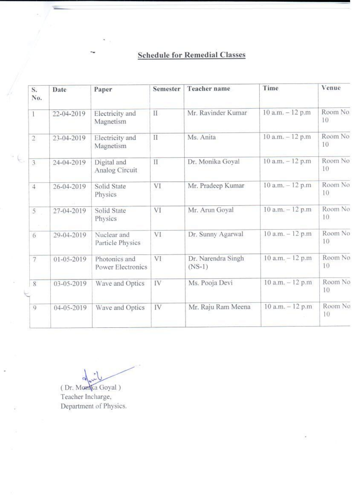#### **Schedule for Remedial Classes**

| S.<br>No.               | Date       | Paper                              | Semester      | Teacher name                   | Time                | Venue          |
|-------------------------|------------|------------------------------------|---------------|--------------------------------|---------------------|----------------|
| $\mathbf{1}$            | 22-04-2019 | Electricity and<br>Magnetism       | $\mathcal{I}$ | Mr. Ravinder Kumar             | $10$ a.m. $-12$ p.m | Room No.<br>10 |
| $\overline{\mathbf{c}}$ | 23-04-2019 | Electricity and<br>Magnetism       | $_{\rm II}$   | Ms. Anita                      | 10 a.m. - 12 p.m    | Room No<br>10  |
| 3                       | 24-04-2019 | Digital and<br>Analog Circuit      | $\rm II$      | Dr. Monika Goyal               | $10$ a.m. $-12$ p.m | Room No<br>10  |
| $\overline{4}$          | 26-04-2019 | Solid State<br>Physics             | VI            | Mr. Pradeep Kumar              | 10 a.m. - 12 p.m    | Room No<br>10  |
| 5 <sup>5</sup>          | 27-04-2019 | Solid State<br>Physics             | VI            | Mr. Arun Goyal                 | 10 a.m. - 12 p.m    | Room No<br>10  |
| 6                       | 29-04-2019 | Nuclear and<br>Particle Physics    | VI.           | Dr. Sunny Agarwal              | 10 a.m. - 12 p.m    | Room No<br>10  |
| 7                       | 01-05-2019 | Photonics and<br>Power Electronics | VI            | Dr. Narendra Singh<br>$(NS-1)$ | 10 a.m. - 12 p.m    | Room No<br>10  |
| $8^{\circ}$             | 03-05-2019 | Wave and Optics                    | IV            | Ms. Pooja Devi                 | 10 a.m. - 12 p.m    | Room No<br>10  |
| $\mathbf{Q}$            | 04-05-2019 | Wave and Optics                    | IV            | Mr. Raju Ram Meena             | $10$ a.m. $-12$ p.m | Room No<br>10  |
|                         |            |                                    |               |                                |                     |                |

 $\blacktriangle$ 

(Dr. Monka Goyal) Teacher Incharge, Department of Physics.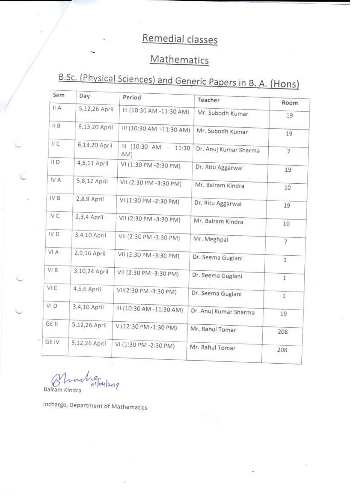## Remedial classes

## Mathematics

# B.Sc. (Physical Sciences) and Generic Papers in B. A. (Hons)

| Sem         | Day           | Period                       | Teacher               | Room           |
|-------------|---------------|------------------------------|-----------------------|----------------|
| II A        | 5,12,26 April | III (10:30 AM -11:30 AM)     | Mr. Subodh Kumar      | 19             |
| IIB         | 6,13,20 April | III (10:30 AM -11:30 AM)     | Mr. Subodh Kumar      | 19             |
| II C        | 6,13,20 April | III (10:30 AM - 11:30<br>AM) | Dr. Anuj Kumar Sharma | 7              |
| $II$ D      | 4,5,11 April  | VI (1:30 PM -2:30 PM)        | Dr. Ritu Aggarwal     | 19             |
| IV A        | 5,8,12 April  | VII (2:30 PM-3:30 PM)        | Mr. Balram Kindra     | 10             |
| IV B        | 2,8,9 April   | VI (1:30 PM - 2:30 PM)       | Dr. Ritu Aggarwal     | 19             |
| IV C        | 2,3,4 April   | VII (2:30 PM -3:30 PM)       | Mr. Balram Kindra     | 10             |
| IV D        | 3,4,10 April  | VII (2:30 PM -3:30 PM)       | Mr. Meghpal           | $\overline{7}$ |
| VI A        | 2,9,16 April  | VII (2:30 PM -3:30 PM)       | Dr. Seema Guglani     | 1              |
| VI B        | 3,10,24 April | VII (2:30 PM - 3:30 PM)      | Dr. Seema Guglani     | $1\,$          |
| VI C        | 4,5,6 April   | VII(2:30 PM -3:30 PM)        | Dr. Seema Guglani     | $\mathbf{1}$   |
| VI D        | 3,4,10 April  | III (10:30 AM -11:30 AM)     | Dr. Anuj Kumar Sharma | 19             |
| GE II       | 5,12,26 April | V (12:30 PM -1:30 PM)        | Mr. Rahul Tomar       | 208            |
| <b>GEIV</b> | 5,12,26 April | VI (1:30 PM -2:30 PM)        | Mr. Rahul Tomar       |                |

04/2019 Balram Ki

Incharge, Department of Mathematics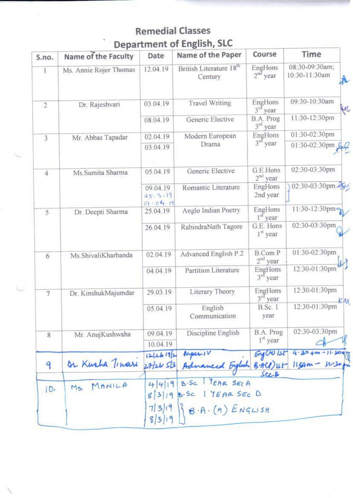#### **Remedial Classes** Department of English, SLC

| S.no.          | Name of the Faculty    | Date                            | Name of the Paper                                                        | Course                       | Time                            |
|----------------|------------------------|---------------------------------|--------------------------------------------------------------------------|------------------------------|---------------------------------|
| $\mathbf{1}$   | Ms. Annie Rojer Thomas | 12.04.19                        | British Literature 18 <sup>th</sup><br>Century                           | EngHons<br>$2nd$ year        | 08:30-09:30am;<br>10:30-11:30am |
| $\overline{2}$ | Dr. Rajeshvari         | 03.04.19                        | <b>Travel Writing</b>                                                    | EngHons<br>$3rd$ year        | 09:30-10:30am<br>fer            |
|                |                        | 08.04.19                        | Generic Elective                                                         | B.A. Prog<br>$3rd$ year      | 11:30-12:30pm                   |
| 3              | Mr. Abbas Tapadar      | 02.04.19                        | Modern European                                                          | EngHons                      | 01:30-02:30pm                   |
|                |                        | 03.04.19                        | Drama                                                                    | $3rd$ year                   | 01:30-02:30pm                   |
| $\overline{4}$ | Ms.Sumita Sharma       | 05.04.19                        | Generic Elective                                                         | G.E.Hons<br>$2nd$ year       | 02:30-03:30pm                   |
|                |                        | 09.04.19<br>25.3.19<br>01.04.19 | Romantic Literature                                                      | EngHons<br>2nd year          | 02:30-03:30pm                   |
| 5              | Dr. Deepti Sharma      | 25.04.19                        | Anglo Indian Poetry                                                      | EngHons<br>$1st$ year        | 11:30-12:30pm                   |
|                |                        | 26.04.19                        | RabindraNath Tagore                                                      | G.E. Hons<br>$1st$ year      | 02:30-03:30pm                   |
| 6              | Ms. Shivali Kharbanda  | 02.04.19                        | Advanced English P.2                                                     | <b>B.Com P</b><br>$2nd$ year | 01:30-02:30pm                   |
|                |                        | 04.04.19                        | Partition Literature                                                     | EngHons<br>$3rd$ year        | 12:30-01:30pm                   |
| $\overline{7}$ | Dr. KinshukMajumdar    | 29.03.19                        | Literary Theory                                                          | EngHons<br>$3rd$ year        | 12:30-01:30pm<br>ëм             |
|                |                        | 05.04.19                        | English<br>Communication                                                 | <b>B.Sc.</b> 1<br>year       | 12:30-01:30pm                   |
| 8              | Mr. AnujKushwaha       | 09.04.19                        | Discipline English                                                       | B.A. Prog                    | 02:30-03:30pm                   |
|                |                        | 10.04.19                        |                                                                          | 1 <sup>st</sup> year         |                                 |
| 9              | Dr Kusha Tinari        |                                 | $12 26 92$ Paper 1<br>27/26 5/3 Adnanced English B.ACP) IST 113Am - W30p | EngCHU Ist                   | $9.30$ am - 11.30am             |
| 10.            | MS MANILA              |                                 | 4/4/19 B.SC PEAR SECA<br>$8 3 19 6.5c$ 1 YEAR SEC D                      |                              |                                 |
|                |                        | 8 3 19                          | $7 3 19 $ $8.9.(4)$ $5.09151$                                            |                              |                                 |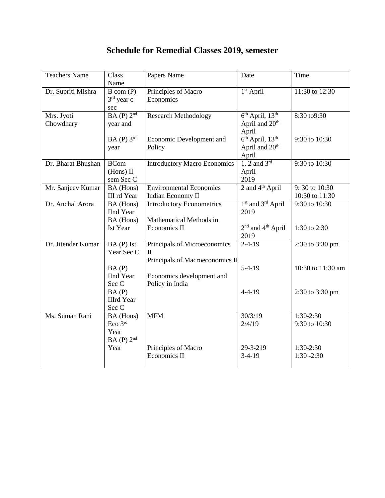| <b>Teachers Name</b> | Class<br>Name       | Papers Name                         | Date                                      | Time                     |
|----------------------|---------------------|-------------------------------------|-------------------------------------------|--------------------------|
| Dr. Supriti Mishra   | B com (P)           | Principles of Macro                 | 1 <sup>st</sup> April                     | 11:30 to 12:30           |
|                      | $3rd$ year c        | Economics                           |                                           |                          |
|                      | sec                 |                                     |                                           |                          |
| Mrs. Jyoti           | $BA(P)$ $2nd$       | <b>Research Methodology</b>         | $6th$ April, $13th$                       | 8:30 to9:30              |
| Chowdhary            | year and            |                                     | April and 20 <sup>th</sup>                |                          |
|                      |                     |                                     | April                                     |                          |
|                      | $BA(P)$ 3rd         | Economic Development and            | $6th$ April, $13th$                       | 9:30 to 10:30            |
|                      | year                | Policy                              | April and 20 <sup>th</sup>                |                          |
|                      |                     |                                     | April                                     |                          |
| Dr. Bharat Bhushan   | <b>BCom</b>         | <b>Introductory Macro Economics</b> | $1, 2$ and $3rd$                          | 9:30 to 10:30            |
|                      | (Hons) II           |                                     | April                                     |                          |
|                      | sem Sec C           |                                     | 2019                                      |                          |
| Mr. Sanjeev Kumar    | BA (Hons)           | <b>Environmental Economics</b>      | 2 and $4th$ April                         | 9:30 to 10:30            |
|                      | III rd Year         | Indian Economy II                   |                                           | 10:30 to 11:30           |
| Dr. Anchal Arora     | BA (Hons)           | <b>Introductory Econometrics</b>    | 1 <sup>st</sup> and 3 <sup>rd</sup> April | $9:30 \text{ to } 10:30$ |
|                      | <b>IInd Year</b>    |                                     | 2019                                      |                          |
|                      | BA (Hons)           | Mathematical Methods in             |                                           |                          |
|                      | Ist Year            | Economics II                        | 2 <sup>nd</sup> and 4 <sup>th</sup> April | 1:30 to 2:30             |
|                      |                     |                                     | 2019                                      |                          |
| Dr. Jitender Kumar   | $BA(P)$ Ist         | Principals of Microeconomics        | $2 - 4 - 19$                              | 2:30 to 3:30 pm          |
|                      | Year Sec C          | $\mathbf{I}$                        |                                           |                          |
|                      |                     | Principals of Macroeconomics II     |                                           |                          |
|                      | BA(P)               |                                     | $5-4-19$                                  | 10:30 to 11:30 am        |
|                      | <b>IInd Year</b>    | Economics development and           |                                           |                          |
|                      | Sec C               | Policy in India                     |                                           |                          |
|                      | BA(P)               |                                     | $4 - 4 - 19$                              | 2:30 to 3:30 pm          |
|                      | <b>IIIrd</b> Year   |                                     |                                           |                          |
|                      | Sec C               |                                     |                                           |                          |
| Ms. Suman Rani       | BA (Hons)           | <b>MFM</b>                          | 30/3/19                                   | $1:30-2:30$              |
|                      | Eco 3 <sup>rd</sup> |                                     | 2/4/19                                    | 9:30 to 10:30            |
|                      | Year                |                                     |                                           |                          |
|                      | $BA(P)$ $2nd$       |                                     |                                           |                          |
|                      | Year                | Principles of Macro                 | 29-3-219                                  | $1:30-2:30$              |
|                      |                     | Economics II                        | $3-4-19$                                  | $1:30 - 2:30$            |
|                      |                     |                                     |                                           |                          |

#### **Schedule for Remedial Classes 2019, semester**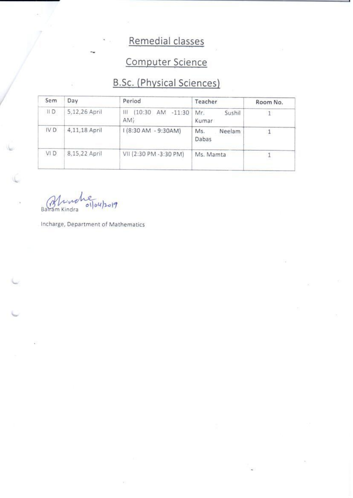## Remedial classes

## Computer Science

### **B.Sc.** (Physical Sciences)

| Sem             | Day           | Period                                | Teacher                | Room No. |
|-----------------|---------------|---------------------------------------|------------------------|----------|
| $\parallel$ D   | 5,12,26 April | (10:30)<br>AM<br>Ш<br>$-11:30$<br>AM) | Sushil<br>Mr.<br>Kumar |          |
| IV <sub>D</sub> | 4,11,18 April | I (8:30 AM - 9:30AM)                  | Ms.<br>Neelam<br>Dabas |          |
| VI D            | 8,15,22 April | VII (2:30 PM -3:30 PM)                | Ms. Mamta              |          |

 $|04|20|9$  $|o|$ Balram Kindra

Incharge, Department of Mathematics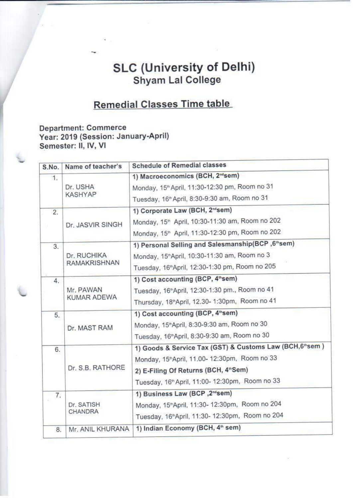#### **SLC (University of Delhi)** Shyam Lal College

#### **Remedial Classes Time table**

#### **Department: Commerce** Year: 2019 (Session: January-April) Semester: II, IV, VI

| S.No. | Name of teacher's   | <b>Schedule of Remedial classes</b>                         |
|-------|---------------------|-------------------------------------------------------------|
| 1.    |                     | 1) Macroeconomics (BCH, 2 <sup>nd</sup> sem)                |
|       | Dr. USHA            | Monday, 15 <sup>th</sup> April, 11:30-12:30 pm, Room no 31  |
|       | <b>KASHYAP</b>      | Tuesday, 16 <sup>th</sup> April, 8:30-9:30 am, Room no 31   |
| 2.    |                     | 1) Corporate Law (BCH, 2 <sup>nd</sup> sem)                 |
|       | Dr. JASVIR SINGH    | Monday, 15 <sup>th</sup> April, 10:30-11:30 am, Room no 202 |
|       |                     | Monday, 15 <sup>th</sup> April, 11:30-12:30 pm, Room no 202 |
| 3.    |                     | 1) Personal Selling and Salesmanship(BCP, 6th sem)          |
|       | Dr. RUCHIKA         | Monday, 15 <sup>th</sup> April, 10:30-11:30 am, Room no 3   |
|       | <b>RAMAKRISHNAN</b> | Tuesday, 16th April, 12:30-1:30 pm, Room no 205             |
| 4.    |                     | 1) Cost accounting (BCP, 4"sem)                             |
|       | Mr. PAWAN           | Tuesday, 16 <sup>th</sup> April, 12:30-1:30 pm., Room no 41 |
|       | KUMAR ADEWA         | Thursday, 18 <sup>n</sup> April, 12.30- 1:30pm, Room no 41  |
| 5.    |                     | 1) Cost accounting (BCP, 4 <sup>th</sup> sem)               |
|       | Dr. MAST RAM        | Monday, 15 <sup>*</sup> April, 8:30-9:30 am, Room no 30     |
|       |                     | Tuesday, 16 <sup>th</sup> April, 8:30-9:30 am, Room no 30   |
| 6.    |                     | 1) Goods & Service Tax (GST) & Customs Law (BCH, 6th sem)   |
|       |                     | Monday, 15 <sup>th</sup> April, 11.00-12:30pm, Room no 33   |
|       | Dr. S.B. RATHORE    | 2) E-Filing Of Returns (BCH, 4"Sem)                         |
|       |                     | Tuesday, 16 <sup>th</sup> April, 11:00- 12:30pm, Room no 33 |
| 7.    |                     | 1) Business Law (BCP, 2 <sup>nd</sup> sem)                  |
| 所     | Dr. SATISH          | Monday, 15 <sup>th</sup> April, 11:30-12:30pm, Room no 204  |
|       | <b>CHANDRA</b>      | Tuesday, 16 <sup>th</sup> April, 11:30-12:30pm, Room no 204 |
| 8.    | Mr. ANIL KHURANA    | 1) Indian Economy (BCH, 4 <sup>th</sup> sem)                |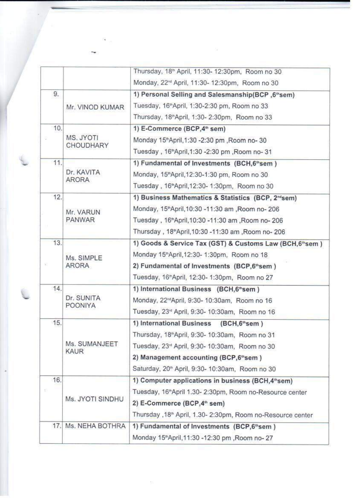|     |                              | Thursday, 18th April, 11:30-12:30pm, Room no 30                          |
|-----|------------------------------|--------------------------------------------------------------------------|
|     |                              | Monday, 22 <sup>nd</sup> April, 11:30- 12:30pm, Room no 30               |
| 9.  |                              | 1) Personal Selling and Salesmanship(BCP, 6"sem)                         |
|     | Mr. VINOD KUMAR              | Tuesday, 16 <sup>th</sup> April, 1:30-2:30 pm, Room no 33                |
|     |                              | Thursday, 18 <sup>th</sup> April, 1:30- 2:30pm, Room no 33               |
| 10. |                              | 1) E-Commerce (BCP, 4 <sup>th</sup> sem)                                 |
|     | MS. JYOTI                    | Monday 15 <sup>th</sup> April, 1:30 -2:30 pm, Room no-30                 |
|     | <b>CHOUDHARY</b>             | Tuesday, 16 <sup>th</sup> April,1:30 -2:30 pm, Room no-31                |
| 11. |                              | 1) Fundamental of Investments (BCH, 6 <sup>th</sup> sem)                 |
|     | Dr. KAVITA<br>ARORA          | Monday, 15 <sup>th</sup> April, 12:30-1:30 pm, Room no 30                |
|     |                              | Tuesday, 16"April, 12:30-1:30pm, Room no 30                              |
| 12. |                              | 1) Business Mathematics & Statistics (BCP, 2 <sup>nd</sup> sem)          |
|     | Mr. VARUN                    | Monday, 15 <sup>th</sup> April, 10:30 -11:30 am , Room no- 206           |
|     | <b>PANWAR</b>                | Tuesday, 16"April, 10:30 - 11:30 am, Room no- 206                        |
|     |                              | Thursday, 18 <sup>th</sup> April, 10:30 -11:30 am, Room no- 206          |
| 13. |                              | 1) Goods & Service Tax (GST) & Customs Law (BCH, 6th sem)                |
|     | Ms. SIMPLE<br>ARORA          | Monday 15 <sup>n</sup> April, 12:30-1:30pm, Room no 18                   |
|     |                              | 2) Fundamental of Investments (BCP,6 <sup>th</sup> sem)                  |
|     |                              | Tuesday, 16"April, 12:30- 1:30pm, Room no 27                             |
| 14. |                              | 1) International Business (BCH,6"sem)                                    |
|     | Dr. SUNITA<br>POONIYA        | Monday, 22 <sup>rd</sup> April, 9:30-10:30am, Room no 16                 |
|     |                              | Tuesday, 23 <sup>rd</sup> April, 9:30- 10:30am, Room no 16               |
| 15. |                              | 1) International Business (BCH,6 <sup>th</sup> sem)                      |
|     |                              | Thursday, 18 <sup>th</sup> April, 9:30-10:30am, Room no 31               |
|     | Ms. SUMANJEET<br><b>KAUR</b> | Tuesday, 23rd April, 9:30- 10:30am, Room no 30                           |
|     |                              | 2) Management accounting (BCP,6 <sup>th</sup> sem)                       |
|     |                              | Saturday, 20 <sup>th</sup> April, 9:30- 10:30am, Room no 30              |
| 16. |                              | 1) Computer applications in business (BCH, 4"sem)                        |
|     |                              | Tuesday, 16"April 1.30- 2:30pm, Room no-Resource center                  |
|     | Ms. JYOTI SINDHU             | 2) E-Commerce (BCP, 4 <sup>th</sup> sem)                                 |
|     |                              | Thursday , 18 <sup>th</sup> April, 1.30- 2:30pm, Room no-Resource center |
| 17. | Ms. NEHA BOTHRA              | 1) Fundamental of Investments (BCP,6 <sup>th</sup> sem)                  |
|     |                              | Monday 15 <sup>n</sup> April, 11:30 -12:30 pm, Room no- 27               |

 $\alpha = -\alpha$  . The second state  $\alpha$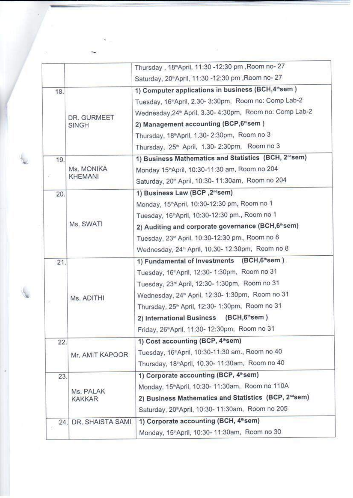|     |                      | Thursday, 18 <sup>th</sup> April, 11:30 -12:30 pm, Room no- 27      |
|-----|----------------------|---------------------------------------------------------------------|
|     |                      | Saturday, 20"April, 11:30 -12:30 pm , Room no- 27                   |
| 18. |                      | 1) Computer applications in business (BCH, 4 <sup>th</sup> sem)     |
|     |                      | Tuesday, 16 <sup>th</sup> April, 2.30-3:30pm, Room no: Comp Lab-2   |
|     | DR. GURMEET          | Wednesday, 24 <sup>th</sup> April, 3.30-4:30pm, Room no: Comp Lab-2 |
|     | <b>SINGH</b>         | 2) Management accounting (BCP,6 <sup>th</sup> sem)                  |
|     |                      | Thursday, 18 <sup>th</sup> April, 1.30-2:30pm, Room no 3            |
|     |                      | Thursday, 25 <sup>th</sup> April, 1.30-2:30pm, Room no 3            |
| 19. |                      | 1) Business Mathematics and Statistics (BCH, 2 <sup>nd</sup> sem)   |
|     | Ms. MONIKA           | Monday 15 <sup>th</sup> April, 10:30-11:30 am, Room no 204          |
|     | <b>KHEMANI</b>       | Saturday, 20th April, 10:30-11:30am, Room no 204                    |
| 20. |                      | 1) Business Law (BCP, 2 <sup>nd</sup> sem)                          |
|     |                      | Monday, 15 <sup>th</sup> April, 10:30-12:30 pm, Room no 1           |
|     |                      | Tuesday, 16 <sup>th</sup> April, 10:30-12:30 pm., Room no 1         |
|     | Ms. SWATI            | 2) Auditing and corporate governance (BCH,6 <sup>th</sup> sem)      |
|     |                      | Tuesday, 23rd April, 10:30-12:30 pm., Room no 8                     |
|     |                      | Wednesday, 24 <sup>th</sup> April, 10.30- 12:30pm, Room no 8        |
| 21. |                      | 1) Fundamental of Investments (BCH,6thsem).                         |
|     |                      | Tuesday, 16 <sup>th</sup> April, 12:30-1:30pm, Room no 31           |
|     |                      | Tuesday, 23rd April, 12:30- 1:30pm, Room no 31                      |
|     | Ms. ADITHI           | Wednesday, 24 <sup>th</sup> April, 12:30-1:30pm, Room no 31         |
|     |                      | Thursday, 25 <sup>th</sup> April, 12:30-1:30pm, Room no 31          |
|     |                      | 2) International Business (BCH, 6"sem)                              |
|     |                      | Friday, 26 <sup>th</sup> April, 11:30-12:30pm, Room no 31           |
| 22. |                      | 1) Cost accounting (BCP, 4 <sup>th</sup> sem)                       |
|     | Mr. AMIT KAPOOR      | Tuesday, 16 <sup>th</sup> April, 10:30-11:30 am., Room no 40        |
|     |                      | Thursday, 18 <sup>th</sup> April, 10.30-11:30am, Room no 40         |
| 23. |                      | 1) Corporate accounting (BCP, 4 <sup>th</sup> sem)                  |
|     | Ms. PALAK            | Monday, 15 <sup>th</sup> April, 10:30-11:30am, Room no 110A         |
|     | <b>KAKKAR</b>        | 2) Business Mathematics and Statistics (BCP, 2 <sup>nd</sup> sem)   |
|     |                      | Saturday, 20"April, 10:30- 11:30am, Room no 205                     |
|     | 24. DR. SHAISTA SAMI | 1) Corporate accounting (BCH, 4th sem)                              |
|     |                      | Monday, 15 <sup>th</sup> April, 10:30-11:30am, Room no 30           |